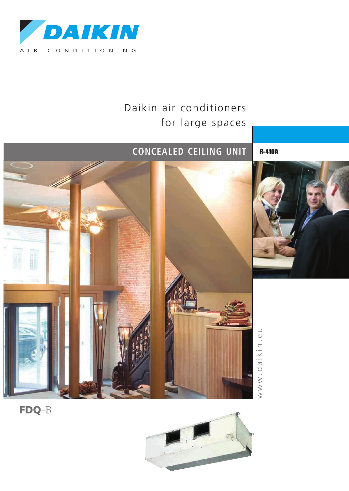

# Daikin air conditioners for large spaces

# **CONCEALED CEILING UNIT**





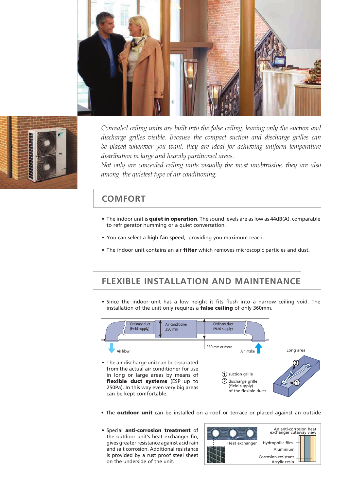



*Concealed ceiling units are built into the false ceiling, leaving only the suction and discharge grilles visible. Because the compact suction and discharge grilles can be placed wherever you want, they are ideal for achieving uniform temperature distribution in large and heavily partitioned areas.*

*Not only are concealed ceiling units visually the most unobtrusive, they are also among the quietest type of air conditioning.*

#### **COMFORT**

- The indoor unit is quiet in operation. The sound levels are as low as 44dB(A), comparable to refrigerator humming or a quiet conversation.
- You can select a **high fan speed**, providing you maximum reach.
- The indoor unit contains an air filter which removes microscopic particles and dust.

#### **FLEXIBLE INSTALLATION AND MAINTENANCE**

• Since the indoor unit has a low height it fits flush into a narrow ceiling void. The installation of the unit only requires a **false ceiling** of only 360mm.



- The outdoor unit can be installed on a roof or terrace or placed against an outside
- Special anti-corrosion treatment of the outdoor unit's heat exchanger fin, gives greater resistance against acid rain and salt corrosion. Additional resistance is provided by a rust proof steel sheet on the underside of the unit.

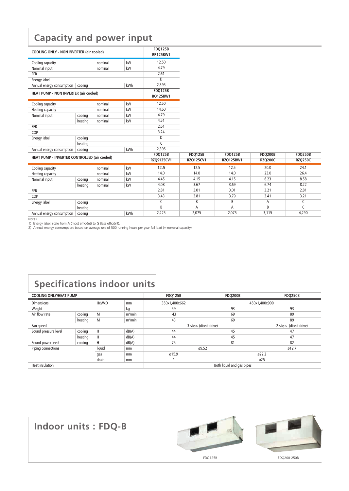## **Capacity and power input**

| <b>COOLING ONLY - NON INVERTER (air cooled)</b> | <b>FDQ125B</b><br><b>RR125BW1</b> |         |    |                |  |
|-------------------------------------------------|-----------------------------------|---------|----|----------------|--|
| Cooling capacity                                | 12.50                             |         |    |                |  |
| Nominal input                                   |                                   | nominal | kW | 4.79           |  |
| EER                                             |                                   |         |    | 2.61           |  |
| Energy label                                    |                                   |         |    | $\overline{D}$ |  |
| Annual energy consumption                       | 2,395                             |         |    |                |  |
| HEAT PUMP - NON INVERTER (air cooled)           | <b>FDQ125B</b>                    |         |    |                |  |
|                                                 | <b>RQ125BW1</b>                   |         |    |                |  |
| Cooling capacity                                | 12.50                             |         |    |                |  |
| Heating capacity                                | kW                                | 14.60   |    |                |  |
| Nominal input                                   | cooling                           | nominal | kW | 4.79           |  |
|                                                 | heating                           | nominal | kW | 4.51           |  |
| <b>EER</b>                                      | 2.61                              |         |    |                |  |
| COP                                             | 3.24                              |         |    |                |  |
| cooling<br>Energy label                         |                                   |         |    | D              |  |
|                                                 | heating                           |         |    | $\overline{C}$ |  |
| Annual energy consumption                       | 2,395                             |         |    |                |  |
|                                                 |                                   |         |    | FDO125R        |  |

| HEAT PUMP - INVERTER CONTROLLED (air cooled) |         | <b>FDQ125B</b><br>RZQS125CV1 | <b>FDQ125B</b><br>RZQ125CV1 | <b>FDQ125B</b><br>RZQ125BW1 | <b>FDQ200B</b><br><b>RZQ200C</b> | <b>FDQ250B</b><br><b>RZQ250C</b> |       |       |
|----------------------------------------------|---------|------------------------------|-----------------------------|-----------------------------|----------------------------------|----------------------------------|-------|-------|
| Cooling capacity                             |         | nominal                      | kW                          | 12.5                        | 12.5                             | 12.5                             | 20.0  | 24.1  |
| Heating capacity                             |         | nominal                      | kW                          | 14.0                        | 14.0                             | 14.0                             | 23.0  | 26.4  |
| Nominal input                                | cooling | nominal                      | kW                          | 4.45                        | 4.15                             | 4.15                             | 6.23  | 8.58  |
|                                              | heating | nominal                      | kW                          | 4.08                        | 3.67                             | 3.69                             | 6.74  | 8.22  |
| EER                                          |         | 2.81                         | 3.01                        | 3.01                        | 3.21                             | 2.81                             |       |       |
| COP                                          |         |                              |                             | 3.43                        | 3.81                             | 3.79                             | 3.41  | 3.21  |
| Energy label                                 | cooling |                              |                             |                             | R                                | B                                | A     |       |
|                                              | heating |                              |                             | B                           | А                                | А                                | B     |       |
| Annual energy consumption                    | cooling |                              | kWh                         | 2,225                       | 2,075                            | 2.075                            | 3,115 | 4,290 |

Notes: 1) Energy label: scale from A (most efficiënt) to G (less efficiënt). 2) Annual energy consumption: based on average use of 500 running hours per year full load (= nominal capacity).

## **Specifications indoor units**

| <b>COOLING ONLY/HEAT PUMP</b>           |                        |                                |                     | <b>FDQ125B</b>            | <b>FDO200B</b> | <b>FDQ250B</b> |  |
|-----------------------------------------|------------------------|--------------------------------|---------------------|---------------------------|----------------|----------------|--|
| <b>Dimensions</b><br><b>HxWxD</b><br>mm |                        | 450x1,400x900<br>350x1,400x662 |                     |                           |                |                |  |
| Weight                                  |                        |                                | kg                  | 59                        | 93             | 93             |  |
| Air flow rate                           | cooling                | M                              | m <sup>3</sup> /min | 43                        | 69             | 89             |  |
|                                         | heating                | M                              | $m^3/m$ in          | 43                        | 69             | 89             |  |
| Fan speed                               | 3 steps (direct drive) |                                |                     | 2 steps (direct drive)    |                |                |  |
| Sound pressure level                    | cooling                | H                              | dB(A)               | 44                        | 45             | 47             |  |
|                                         | heating                | H                              | dB(A)               | 44                        | 45             | 47             |  |
| Sound power level                       | cooling                | н                              | dB(A)               | 81<br>75                  |                | 82             |  |
| liquid<br>Piping connections<br>mm      |                        | ø9.52                          |                     | ø12.7                     |                |                |  |
| mm<br>gas                               |                        | ø15.9<br>022.2                 |                     |                           |                |                |  |
|                                         |                        | drain                          | mm                  | $\star$                   | ø25            |                |  |
| Heat insulation                         |                        |                                |                     | Both liquid and gas pipes |                |                |  |

**Indoor units : FDQ-B**

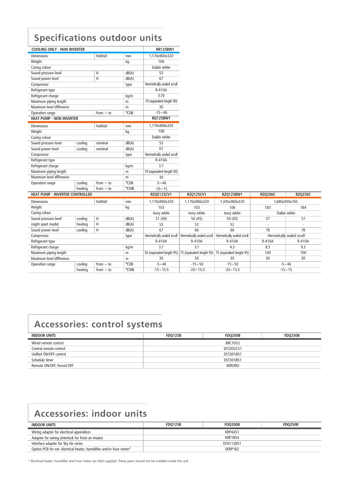# **Specifications outdoor units**

| <b>COOLING ONLY - NON INVERTER</b> |         | RR125BW1                  |                            |                                                                               |               |                            |                |                |
|------------------------------------|---------|---------------------------|----------------------------|-------------------------------------------------------------------------------|---------------|----------------------------|----------------|----------------|
| <b>Dimensions</b>                  |         | <b>HxWxD</b>              | mm                         | 1.170x900x320                                                                 |               |                            |                |                |
| Weight<br>kg                       |         | 106                       |                            |                                                                               |               |                            |                |                |
| Casing colour                      |         |                           |                            | Daikin white                                                                  |               |                            |                |                |
| Sound pressure level               |         | Η                         | dB(A)                      | $\overline{53}$                                                               |               |                            |                |                |
| Sound power level                  |         | H                         | dB(A)                      | 67                                                                            |               |                            |                |                |
| Compressor                         |         |                           | type                       | Hermetically sealed scroll                                                    |               |                            |                |                |
| Refrigerant type                   |         |                           |                            | R-410A                                                                        |               |                            |                |                |
| Refrigerant charge                 |         |                           | kg/m                       | 3.70                                                                          |               |                            |                |                |
| Maximum piping length              |         |                           | m                          | 70 (equivalent length 90)                                                     |               |                            |                |                |
| Maximum level difference           |         |                           | m                          | 30                                                                            |               |                            |                |                |
| Operation range                    |         | from $\sim$ to            | °CDB                       | $-15 - 46$                                                                    |               |                            |                |                |
| <b>HEAT PUMP - NON INVERTER</b>    |         |                           |                            | <b>RQ125BW1</b>                                                               |               |                            |                |                |
| <b>Dimensions</b>                  |         | <b>HxWxD</b>              | mm                         | 1.170x900x320                                                                 |               |                            |                |                |
| Weight                             |         |                           | kg                         | 108                                                                           |               |                            |                |                |
| Casing colour                      |         |                           |                            | Daikin white                                                                  |               |                            |                |                |
| Sound pressure level               | cooling | nominal                   | dB(A)                      | 53                                                                            |               |                            |                |                |
| Sound power level                  | coolina | nominal                   | dB(A)                      | 67                                                                            |               |                            |                |                |
| Compressor                         |         |                           | type                       | Hermetically sealed scroll                                                    |               |                            |                |                |
| Refrigerant type                   |         | <b>R-410A</b>             |                            |                                                                               |               |                            |                |                |
| Refrigerant charge<br>kg/m         |         | 3.7                       |                            |                                                                               |               |                            |                |                |
| Maximum piping length<br>m         |         | 70 (equivalent length 90) |                            |                                                                               |               |                            |                |                |
| Maximum level difference<br>m      |         | 30                        |                            |                                                                               |               |                            |                |                |
| Operation range                    | cooling | from $\sim$ to            | °CDB                       | $-5 - 46$                                                                     |               |                            |                |                |
|                                    | heating | from $\sim$ to            | °CWB                       | $-10 - 15$                                                                    |               |                            |                |                |
| HEAT PUMP - INVERTER CONTROLLED    |         |                           |                            | RZQS125CV1                                                                    | RZQ125CV1     | RZQ125BW1                  | <b>RZQ200C</b> | <b>RZQ250C</b> |
| <b>Dimensions</b>                  |         | <b>HxWxD</b>              | mm                         | 1,170x900x320                                                                 | 1,170x900x320 | 1,345x900x320              | 1,680x930x765  |                |
| Weight                             |         |                           | kg                         | 103                                                                           | 103           | 106                        | 183            | 184            |
| Casing colour                      |         |                           |                            | Ivory white                                                                   | Ivory white   | Ivory white                | Daikin white   |                |
| Sound pressure level               | cooling | H                         | dB(A)                      | 51 (49)                                                                       | 50(45)        | 50 (45)                    | 57             | 57             |
| (night quiet mode)                 | heating | H                         | dB(A)                      | 53                                                                            | 52            | 52                         | ÷,             | ÷,             |
| Sound power level                  | cooling | Η                         | dB(A)                      | 67                                                                            | 66            | 66                         | 78             | 78             |
| Compressor                         | type    |                           | Hermetically sealed scroll | Hermetically sealed scroll   Hermetically sealed scroll                       |               | Hermetically sealed scroll |                |                |
| Refrigerant type                   |         | R-410A                    | R-410A                     | R-410A                                                                        | R-410A        | R-410A                     |                |                |
| Refrigerant charge<br>kg/m         |         | 3.7                       | 3.7                        | 4.3                                                                           | 8.3           | 9.3                        |                |                |
| Maximum piping length<br>m         |         |                           |                            | 50 (equivalent lenght 95) 75 (equivalent lenght 95) 75 (equivalent lenght 95) | 100           | 100                        |                |                |
| Maximum level difference<br>m      |         |                           |                            |                                                                               |               |                            |                |                |
|                                    |         |                           |                            | 30                                                                            | 30            | 30                         | 30             | 30             |
| Operation range                    | cooling | from $\sim$ to            | °CDB                       | $-5 - 46$                                                                     | $-15 - 50$    | $-15 - 50$                 | $-5 - 46$      |                |

## **Accessories: control systems**

| <b>INDOOR UNITS</b>       | <b>FDO125B</b> | <b>FDO200B</b> | <b>FDO250B</b> |
|---------------------------|----------------|----------------|----------------|
| Wired remote control      |                | BRC1D52        |                |
| Central remote control    |                | DCS302C51      |                |
| Unified ON/OFF control    |                | DCS301B51      |                |
| Schedule timer            |                | DST301B51      |                |
| Remote ON/OFF, forced OFF |                | <b>EKRORO</b>  |                |

# **Accessories: indoor units**

| <b>INDOOR UNITS</b>                                                  | <b>FDO125B</b> | <b>FDO200B</b> | <b>FDO250B</b> |
|----------------------------------------------------------------------|----------------|----------------|----------------|
| Wiring adapter for electrical appendices                             |                | KRP4A51        |                |
| Adapter for wiring (interlock for fresh air intake)                  |                | <b>KRP1B54</b> |                |
| Interface adapter for Sky Air series                                 |                | DTA112B51      |                |
| Option PCB for ext. electrical heater, humidifier and/or hour meter* |                | EKRP1B2        |                |

\* Electrical heater, humidifier and hour meter are field supplied. These parts should not be installed inside the unit.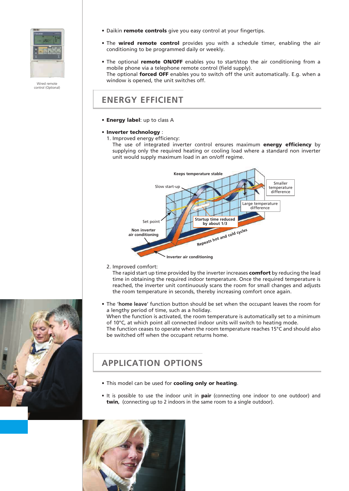

Wired remote control (Optional)

- Daikin remote controls give you easy control at your fingertips.
- The wired remote control provides you with a schedule timer, enabling the air conditioning to be programmed daily or weekly.
- The optional remote ON/OFF enables you to start/stop the air conditioning from a mobile phone via a telephone remote control (field supply). The optional forced OFF enables you to switch off the unit automatically. E.g. when a window is opened, the unit switches off.

#### **ENERGY EFFICIENT**

- Energy label: up to class A
- Inverter technology :
- 1. Improved energy efficiency:
	- The use of integrated inverter control ensures maximum energy efficiency by supplying only the required heating or cooling load where a standard non inverter unit would supply maximum load in an on/off regime.



2. Improved comfort:

The rapid start up time provided by the inverter increases comfort by reducing the lead time in obtaining the required indoor temperature. Once the required temperature is reached, the inverter unit continuously scans the room for small changes and adjusts the room temperature in seconds, thereby increasing comfort once again.

• The '**home leave**' function button should be set when the occupant leaves the room for a lengthy period of time, such as a holiday. When the function is activated, the room temperature is automatically set to a minimum

of 10°C, at which point all connected indoor units will switch to heating mode. The function ceases to operate when the room temperature reaches 15°C and should also be switched off when the occupant returns home.

### **APPLICATION OPTIONS**

- This model can be used for cooling only or heating.
- It is possible to use the indoor unit in pair (connecting one indoor to one outdoor) and twin**,** (connecting up to 2 indoors in the same room to a single outdoor).